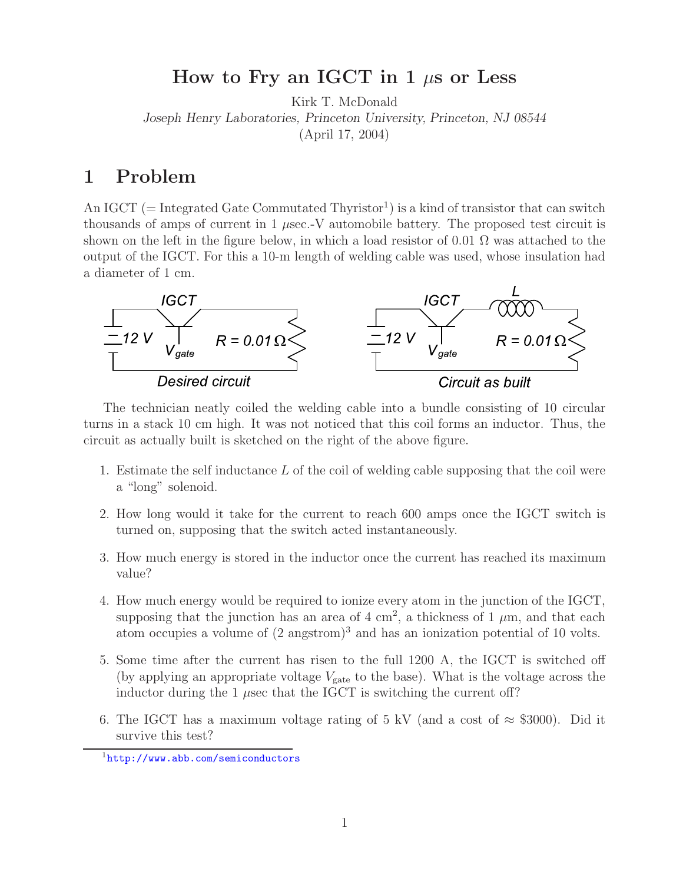## **How to Fry an IGCT in 1** μ**s or Less**

Kirk T. McDonald *Joseph Henry Laboratories, Princeton University, Princeton, NJ 08544* (April 17, 2004)

## **1 Problem**

An IGCT (= Integrated Gate Commutated Thyristor<sup>1</sup>) is a kind of transistor that can switch thousands of amps of current in 1  $\mu$ sec.-V automobile battery. The proposed test circuit is shown on the left in the figure below, in which a load resistor of 0.01  $\Omega$  was attached to the output of the IGCT. For this a 10-m length of welding cable was used, whose insulation had a diameter of 1 cm.



The technician neatly coiled the welding cable into a bundle consisting of 10 circular turns in a stack 10 cm high. It was not noticed that this coil forms an inductor. Thus, the circuit as actually built is sketched on the right of the above figure.

- 1. Estimate the self inductance  $L$  of the coil of welding cable supposing that the coil were a "long" solenoid.
- 2. How long would it take for the current to reach 600 amps once the IGCT switch is turned on, supposing that the switch acted instantaneously.
- 3. How much energy is stored in the inductor once the current has reached its maximum value?
- 4. How much energy would be required to ionize every atom in the junction of the IGCT, supposing that the junction has an area of  $4 \text{ cm}^2$ , a thickness of  $1 \mu \text{m}$ , and that each atom occupies a volume of  $(2 \text{ ansstrom})^3$  and has an ionization potential of 10 volts.
- 5. Some time after the current has risen to the full 1200 A, the IGCT is switched off (by applying an appropriate voltage  $V_{\text{gate}}$  to the base). What is the voltage across the inductor during the 1  $\mu$ sec that the IGCT is switching the current off?
- 6. The IGCT has a maximum voltage rating of 5 kV (and a cost of  $\approx$  \$3000). Did it survive this test?

<sup>1</sup>http://www.abb.com/semiconductors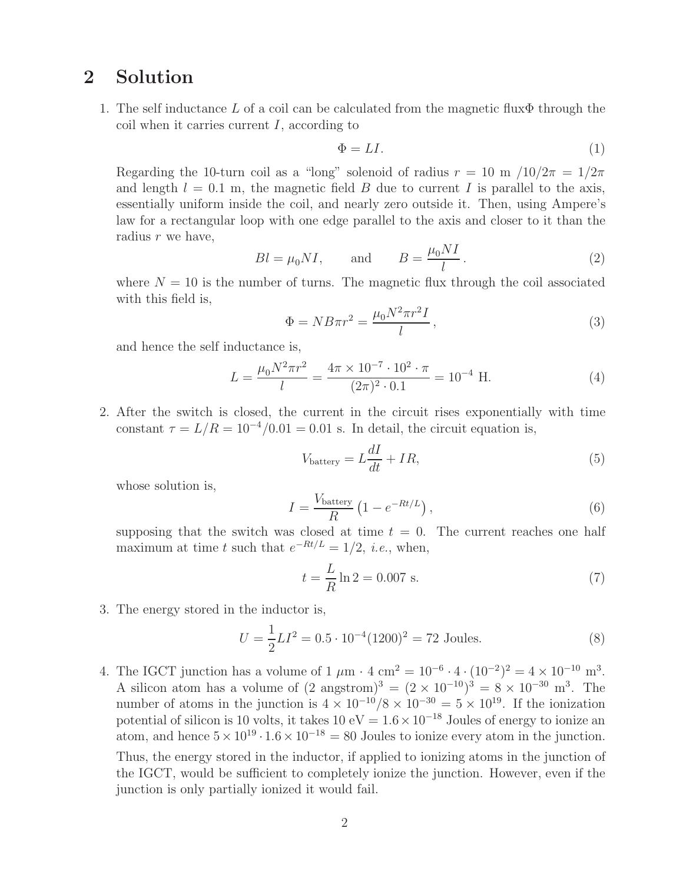## **2 Solution**

1. The self inductance L of a coil can be calculated from the magnetic flux $\Phi$  through the coil when it carries current  $I$ , according to

$$
\Phi = LI.
$$
 (1)

Regarding the 10-turn coil as a "long" solenoid of radius  $r = 10$  m  $/10/2\pi = 1/2\pi$ and length  $l = 0.1$  m, the magnetic field B due to current I is parallel to the axis, essentially uniform inside the coil, and nearly zero outside it. Then, using Ampere's law for a rectangular loop with one edge parallel to the axis and closer to it than the radius r we have,

$$
Bl = \mu_0 NI, \quad \text{and} \quad B = \frac{\mu_0 NI}{l}.
$$
 (2)

where  $N = 10$  is the number of turns. The magnetic flux through the coil associated with this field is,

$$
\Phi = N B \pi r^2 = \frac{\mu_0 N^2 \pi r^2 I}{l},\qquad(3)
$$

and hence the self inductance is,

$$
L = \frac{\mu_0 N^2 \pi r^2}{l} = \frac{4\pi \times 10^{-7} \cdot 10^2 \cdot \pi}{(2\pi)^2 \cdot 0.1} = 10^{-4} \text{ H.}
$$
 (4)

2. After the switch is closed, the current in the circuit rises exponentially with time constant  $\tau = L/R = 10^{-4}/0.01 = 0.01$  s. In detail, the circuit equation is,

$$
V_{\text{battery}} = L\frac{dI}{dt} + IR,\tag{5}
$$

whose solution is,

$$
I = \frac{V_{\text{battery}}}{R} \left( 1 - e^{-Rt/L} \right),\tag{6}
$$

supposing that the switch was closed at time  $t = 0$ . The current reaches one half maximum at time t such that  $e^{-Rt/L} = 1/2$ , *i.e.*, when,

$$
t = \frac{L}{R} \ln 2 = 0.007 \text{ s.}
$$
 (7)

3. The energy stored in the inductor is,

$$
U = \frac{1}{2}LI^2 = 0.5 \cdot 10^{-4} (1200)^2 = 72 \text{ Joules.}
$$
 (8)

4. The IGCT junction has a volume of  $1 \mu m \cdot 4 \text{ cm}^2 = 10^{-6} \cdot 4 \cdot (10^{-2})^2 = 4 \times 10^{-10} \text{ m}^3$ . A silicon atom has a volume of  $(2 \text{ angstrom})^3 = (2 \times 10^{-10})^3 = 8 \times 10^{-30} \text{ m}^3$ . The number of atoms in the junction is  $4 \times 10^{-10}/8 \times 10^{-30} = 5 \times 10^{19}$ . If the ionization potential of silicon is 10 volts, it takes  $10 \text{ eV} = 1.6 \times 10^{-18}$  Joules of energy to ionize an atom, and hence  $5 \times 10^{19} \cdot 1.6 \times 10^{-18} = 80$  Joules to ionize every atom in the junction. Thus, the energy stored in the inductor, if applied to ionizing atoms in the junction of the IGCT, would be sufficient to completely ionize the junction. However, even if the junction is only partially ionized it would fail.